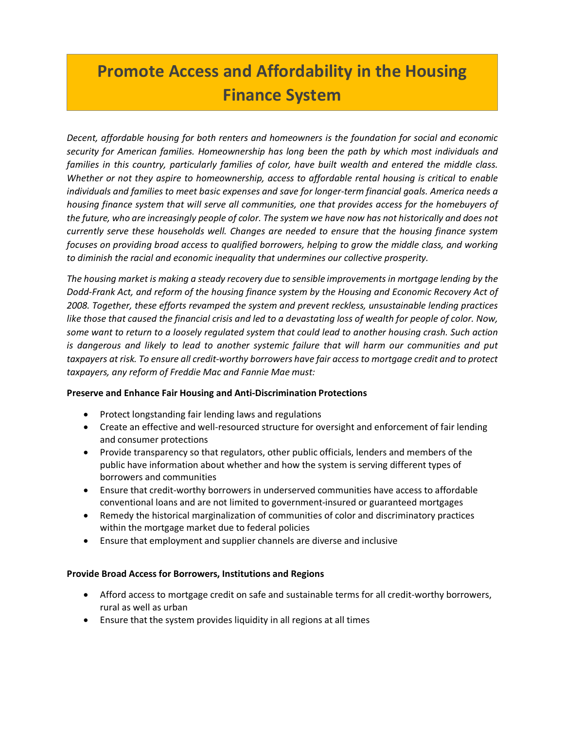# **Promote Access and Affordability in the Housing Finance System**

*Decent, affordable housing for both renters and homeowners is the foundation for social and economic security for American families. Homeownership has long been the path by which most individuals and families in this country, particularly families of color, have built wealth and entered the middle class. Whether or not they aspire to homeownership, access to affordable rental housing is critical to enable individuals and families to meet basic expenses and save for longer-term financial goals. America needs a housing finance system that will serve all communities, one that provides access for the homebuyers of the future, who are increasingly people of color. The system we have now has not historically and does not currently serve these households well. Changes are needed to ensure that the housing finance system focuses on providing broad access to qualified borrowers, helping to grow the middle class, and working to diminish the racial and economic inequality that undermines our collective prosperity.* 

*The housing market is making a steady recovery due to sensible improvements in mortgage lending by the Dodd-Frank Act, and reform of the housing finance system by the Housing and Economic Recovery Act of 2008. Together, these efforts revamped the system and prevent reckless, unsustainable lending practices like those that caused the financial crisis and led to a devastating loss of wealth for people of color. Now, some want to return to a loosely regulated system that could lead to another housing crash. Such action is dangerous and likely to lead to another systemic failure that will harm our communities and put taxpayers at risk. To ensure all credit-worthy borrowers have fair access to mortgage credit and to protect taxpayers, any reform of Freddie Mac and Fannie Mae must:* 

### **Preserve and Enhance Fair Housing and Anti-Discrimination Protections**

- Protect longstanding fair lending laws and regulations
- Create an effective and well-resourced structure for oversight and enforcement of fair lending and consumer protections
- Provide transparency so that regulators, other public officials, lenders and members of the public have information about whether and how the system is serving different types of borrowers and communities
- Ensure that credit-worthy borrowers in underserved communities have access to affordable conventional loans and are not limited to government-insured or guaranteed mortgages
- Remedy the historical marginalization of communities of color and discriminatory practices within the mortgage market due to federal policies
- Ensure that employment and supplier channels are diverse and inclusive

### **Provide Broad Access for Borrowers, Institutions and Regions**

- Afford access to mortgage credit on safe and sustainable terms for all credit-worthy borrowers, rural as well as urban
- Ensure that the system provides liquidity in all regions at all times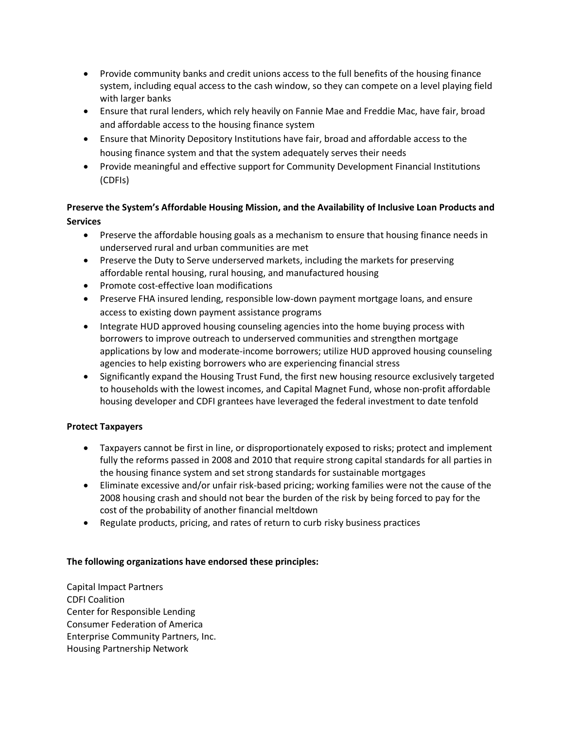- Provide community banks and credit unions access to the full benefits of the housing finance system, including equal access to the cash window, so they can compete on a level playing field with larger banks
- Ensure that rural lenders, which rely heavily on Fannie Mae and Freddie Mac, have fair, broad and affordable access to the housing finance system
- Ensure that Minority Depository Institutions have fair, broad and affordable access to the housing finance system and that the system adequately serves their needs
- Provide meaningful and effective support for Community Development Financial Institutions (CDFIs)

# **Preserve the System's Affordable Housing Mission, and the Availability of Inclusive Loan Products and Services**

- Preserve the affordable housing goals as a mechanism to ensure that housing finance needs in underserved rural and urban communities are met
- Preserve the Duty to Serve underserved markets, including the markets for preserving affordable rental housing, rural housing, and manufactured housing
- Promote cost-effective loan modifications
- Preserve FHA insured lending, responsible low-down payment mortgage loans, and ensure access to existing down payment assistance programs
- Integrate HUD approved housing counseling agencies into the home buying process with borrowers to improve outreach to underserved communities and strengthen mortgage applications by low and moderate-income borrowers; utilize HUD approved housing counseling agencies to help existing borrowers who are experiencing financial stress
- Significantly expand the Housing Trust Fund, the first new housing resource exclusively targeted to households with the lowest incomes, and Capital Magnet Fund, whose non-profit affordable housing developer and CDFI grantees have leveraged the federal investment to date tenfold

## **Protect Taxpayers**

- Taxpayers cannot be first in line, or disproportionately exposed to risks; protect and implement fully the reforms passed in 2008 and 2010 that require strong capital standards for all parties in the housing finance system and set strong standards for sustainable mortgages
- Eliminate excessive and/or unfair risk-based pricing; working families were not the cause of the 2008 housing crash and should not bear the burden of the risk by being forced to pay for the cost of the probability of another financial meltdown
- Regulate products, pricing, and rates of return to curb risky business practices

## **The following organizations have endorsed these principles:**

Capital Impact Partners CDFI Coalition Center for Responsible Lending Consumer Federation of America Enterprise Community Partners, Inc. Housing Partnership Network